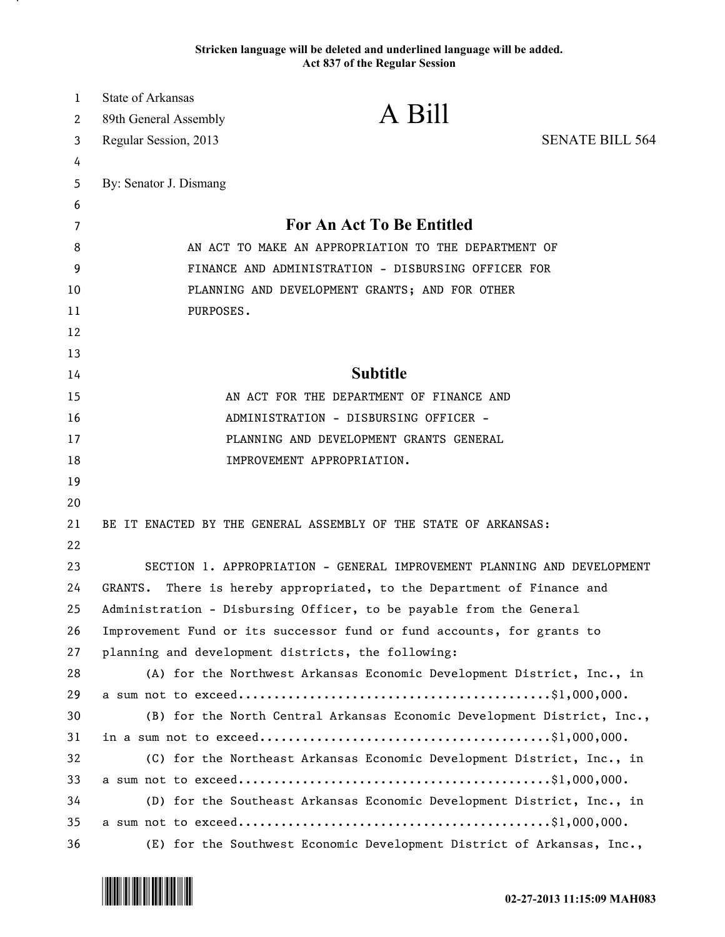## **Stricken language will be deleted and underlined language will be added. Act 837 of the Regular Session**

| $\mathbf{1}$ | <b>State of Arkansas</b>                                               |                                                                         |                        |
|--------------|------------------------------------------------------------------------|-------------------------------------------------------------------------|------------------------|
| 2            | 89th General Assembly                                                  | A Bill                                                                  |                        |
| 3            | Regular Session, 2013                                                  |                                                                         | <b>SENATE BILL 564</b> |
| 4            |                                                                        |                                                                         |                        |
| 5            | By: Senator J. Dismang                                                 |                                                                         |                        |
| 6            |                                                                        |                                                                         |                        |
| 7            | <b>For An Act To Be Entitled</b>                                       |                                                                         |                        |
| 8            | AN ACT TO MAKE AN APPROPRIATION TO THE DEPARTMENT OF                   |                                                                         |                        |
| 9            | FINANCE AND ADMINISTRATION - DISBURSING OFFICER FOR                    |                                                                         |                        |
| 10           | PLANNING AND DEVELOPMENT GRANTS; AND FOR OTHER                         |                                                                         |                        |
| 11           | PURPOSES.                                                              |                                                                         |                        |
| 12           |                                                                        |                                                                         |                        |
| 13           |                                                                        |                                                                         |                        |
| 14           | <b>Subtitle</b>                                                        |                                                                         |                        |
| 15           | AN ACT FOR THE DEPARTMENT OF FINANCE AND                               |                                                                         |                        |
| 16           | ADMINISTRATION - DISBURSING OFFICER -                                  |                                                                         |                        |
| 17           | PLANNING AND DEVELOPMENT GRANTS GENERAL                                |                                                                         |                        |
| 18           |                                                                        | IMPROVEMENT APPROPRIATION.                                              |                        |
| 19           |                                                                        |                                                                         |                        |
| 20           |                                                                        |                                                                         |                        |
| 21           |                                                                        | BE IT ENACTED BY THE GENERAL ASSEMBLY OF THE STATE OF ARKANSAS:         |                        |
| 22           |                                                                        |                                                                         |                        |
| 23           |                                                                        | SECTION 1. APPROPRIATION - GENERAL IMPROVEMENT PLANNING AND DEVELOPMENT |                        |
| 24           | GRANTS.                                                                | There is hereby appropriated, to the Department of Finance and          |                        |
| 25           |                                                                        | Administration - Disbursing Officer, to be payable from the General     |                        |
| 26           | Improvement Fund or its successor fund or fund accounts, for grants to |                                                                         |                        |
| 27           | planning and development districts, the following:                     |                                                                         |                        |
| 28           |                                                                        | (A) for the Northwest Arkansas Economic Development District, Inc., in  |                        |
| 29           |                                                                        |                                                                         |                        |
| 30           |                                                                        | (B) for the North Central Arkansas Economic Development District, Inc., |                        |
| 31           |                                                                        |                                                                         |                        |
| 32           |                                                                        | (C) for the Northeast Arkansas Economic Development District, Inc., in  |                        |
| 33           |                                                                        |                                                                         |                        |
| 34           |                                                                        | (D) for the Southeast Arkansas Economic Development District, Inc., in  |                        |
| 35           |                                                                        |                                                                         |                        |
| 36           |                                                                        | (E) for the Southwest Economic Development District of Arkansas, Inc.,  |                        |

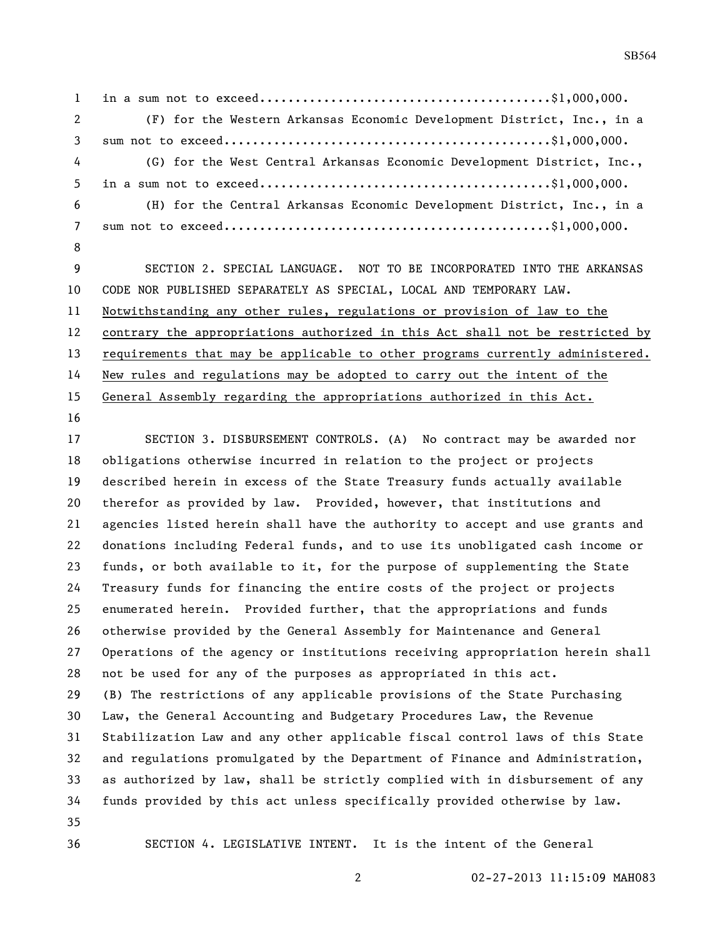in a sum not to exceed.........................................\$1,000,000. (F) for the Western Arkansas Economic Development District, Inc., in a sum not to exceed..............................................\$1,000,000. (G) for the West Central Arkansas Economic Development District, Inc., in a sum not to exceed.........................................\$1,000,000. (H) for the Central Arkansas Economic Development District, Inc., in a sum not to exceed..............................................\$1,000,000. SECTION 2. SPECIAL LANGUAGE. NOT TO BE INCORPORATED INTO THE ARKANSAS CODE NOR PUBLISHED SEPARATELY AS SPECIAL, LOCAL AND TEMPORARY LAW.

 Notwithstanding any other rules, regulations or provision of law to the contrary the appropriations authorized in this Act shall not be restricted by 13 requirements that may be applicable to other programs currently administered. New rules and regulations may be adopted to carry out the intent of the General Assembly regarding the appropriations authorized in this Act.

 SECTION 3. DISBURSEMENT CONTROLS. (A) No contract may be awarded nor obligations otherwise incurred in relation to the project or projects described herein in excess of the State Treasury funds actually available therefor as provided by law. Provided, however, that institutions and agencies listed herein shall have the authority to accept and use grants and donations including Federal funds, and to use its unobligated cash income or funds, or both available to it, for the purpose of supplementing the State Treasury funds for financing the entire costs of the project or projects enumerated herein. Provided further, that the appropriations and funds otherwise provided by the General Assembly for Maintenance and General Operations of the agency or institutions receiving appropriation herein shall not be used for any of the purposes as appropriated in this act. (B) The restrictions of any applicable provisions of the State Purchasing Law, the General Accounting and Budgetary Procedures Law, the Revenue Stabilization Law and any other applicable fiscal control laws of this State and regulations promulgated by the Department of Finance and Administration, as authorized by law, shall be strictly complied with in disbursement of any funds provided by this act unless specifically provided otherwise by law. SECTION 4. LEGISLATIVE INTENT. It is the intent of the General